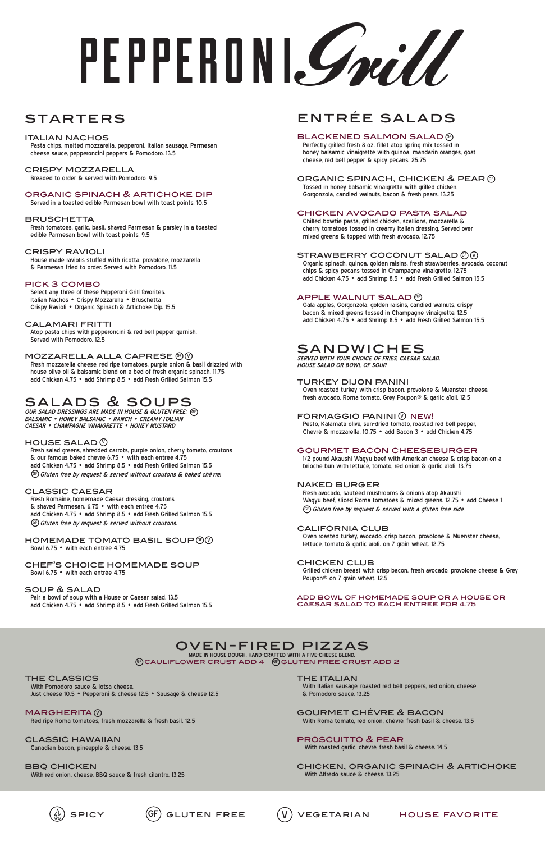# PEPPERDNI*Grill*

# **STARTERS**

# entrée salads

# BLACKENED SALMON SALAD @

 Perfectly grilled fresh 8 oz. fillet atop spring mix tossed in honey balsamic vinaigrette with quinoa, mandarin oranges, goat cheese, red bell pepper & spicy pecans. 25.75

# ORGANIC SPINACH, CHICKEN & PEAR  $\mathcal G$

 Tossed in honey balsamic vinaigrette with grilled chicken, Gorgonzola, candied walnuts, bacon & fresh pears. 13.25

# chicken avocado pasta salad

 Chilled bowtie pasta, grilled chicken, scallions, mozzarella & cherry tomatoes tossed in creamy Italian dressing. Served over mixed greens & topped with fresh avocado. 12.75

# STRAWBERRY COCONUT SALAD  $\circledcirc\circ$

 Organic spinach, quinoa, golden raisins, fresh strawberries, avocado, coconut chips & spicy pecans tossed in Champagne vinaigrette. 12.75 add Chicken 4.75 • add Shrimp 8.5 • add Fresh Grilled Salmon 15.5

# APPLE WALNUT SALAD  $\mathbb G$

 Fresh avocado, sautéed mushrooms & onions atop Akaushi Wagyu beef, sliced Roma tomatoes & mixed greens. 12.75 • add Cheese 1 GF) Gluten free by request & served with a gluten free side.

 Gala apples, Gorgonzola, golden raisins, candied walnuts, crispy bacon & mixed greens tossed in Champagne vinaigrette. 12.5 add Chicken 4.75 • add Shrimp 8.5 • add Fresh Grilled Salmon 15.5

# sandwiches

**SERVED WITH YOUR CHOICE OF FRIES, CAESAR SALAD, HOUSE SALAD OR BOWL OF SOUP.** 

# turkey dijon panini

 Oven roasted turkey with crisp bacon, provolone & Muenster cheese, fresh avocado, Roma tomato, Grey Poupon® & garlic aïoli. 12.5

# $\mathsf F$ ORMAGGIO PANINI $\mathbb \heartsuit$  NEW!

 Pesto, Kalamata olive, sun-dried tomato, roasted red bell pepper, Chevré & mozzarella. 10.75 • add Bacon 3 • add Chicken 4.75

# gourmet bacon cheeseburger

PICK 3 COMBO<br>Select any three of these Pepperoni Grill favorites. Italian Nachos • Crispy Mozzarella • Bruschetta Crispy Ravioli • Organic Spinach & Artichoke Dip. 15.5

> 1/2 pound Akaushi Wagyu beef with American cheese & crisp bacon on a brioche bun with lettuce, tomato, red onion & garlic aïoli. 13.75

# naked burger

 Fresh salad greens, shredded carrots, purple onion, cherry tomato, croutons & our famous baked chèvre 6.75 • with each entrèe 4.75 add Chicken 4.75 • add Shrimp 8.5 • add Fresh Grilled Salmon 15.5  $\mathbb{G}$  Gluten free by request & served without croutons & baked chévre.

# california club

 Fresh Romaine, homemade Caesar dressing, croutons & shaved Parmesan. 6.75 • with each entrèe 4.75 add Chicken 4.75 • add Shrimp 8.5 • add Fresh Grilled Salmon 15.5 GF) Gluten free by request & served without croutons.

> Oven roasted turkey, avocado, crisp bacon, provolone & Muenster cheese, lettuce, tomato & garlic aïoli. on 7 grain wheat. 12.75

# chicken club

### HOMEMADE TOMATO BASIL SOUP  $\circledcirc\circ$ Bowl 6.75 • with each entrée 4.75

 Grilled chicken breast with crisp bacon, fresh avocado, provolone cheese & Grey Poupon® on 7 grain wheat. 12.5

### add bowl of homemade soup or a house or caesar salad to each entree for 4.75

**MADE IN HOUSE DOUGH, HAND-CRAFTED WITH A FIVE-CHEESE BLEND.**  $\circledast$ CAULIFLOWER CRUST ADD  $4$   $\circledast$ GLUTEN FREE CRUST ADD 2

## italian nachos

THE CLASSICS<br>With Pomodoro sauce & lotsa cheese. Just cheese 10.5 • Pepperoni & cheese 12.5 • Sausage & cheese 12.5

 Pasta chips, melted mozzarella, pepperoni, Italian sausage, Parmesan cheese sauce, pepperoncini peppers & Pomodoro. 13.5

**MARGHERITA** Red ripe Roma tomatoes, fresh mozzarella & fresh basil. 12.5

crispy mozzarella Breaded to order & served with Pomodoro. 9.5

**BBQ CHICKEN** With red onion, cheese, BBQ sauce & fresh cilantro. 13.25 **THE ITALIAN** 

# organic spinach & artichoke dip

Served in a toasted edible Parmesan bowl with toast points. 10.5

# **BRUSCHETTA**

 Fresh tomatoes, garlic, basil, shaved Parmesan & parsley in a toasted edible Parmesan bowl with toast points. 9.5

# crispy ravioli

 House made raviolis stuffed with ricotta, provolone, mozzarella & Parmesan fried to order. Served with Pomodoro. 11.5

# calamari fritti

 Atop pasta chips with pepperoncini & red bell pepper garnish. Served with Pomodoro. 12.5

# <code>MOZZARELLA</code> ALLA CAPRESE  $@@$

 Fresh mozzarella cheese, red ripe tomatoes, purple onion & basil drizzled with house olive oil & balsamic blend on a bed of fresh organic spinach. 11.75 add Chicken 4.75 • add Shrimp 8.5 • add Fresh Grilled Salmon 15.5

# salads & soups

**OUR SALAD DRESSINGS ARE MADE IN HOUSE & GLUTEN FREE:** GF **BALSAMIC • HONEY BALSAMIC • RANCH • CREAMY ITALIAN CAESAR • CHAMPAGNE VINAIGRETTE • HONEY MUSTARD**

# HOUSE SALAD  $\mathbb {Q}$

# classic caesar

#### chef's choice homemade soup Bowl 6.75 • with each entrée 4.75

# soup & salad

 Pair a bowl of soup with a House or Caesar salad. 13.5 add Chicken 4.75 • add Shrimp 8.5 • add Fresh Grilled Salmon 15.5

# oven-fired pizzas

classic hawaiian Canadian bacon, pineapple & cheese. 13.5

 With Italian sausage, roasted red bell peppers, red onion, cheese & Pomodoro sauce. 13.25

gourmet chévre & bacon With Roma tomato, red onion, chévre, fresh basil & cheese. 13.5

proscuitto & pear With roasted garlic, chévre, fresh basil & cheese. 14.5

chicken, organic spinach & artichoke With Alfredo sauce & cheese. 13.25